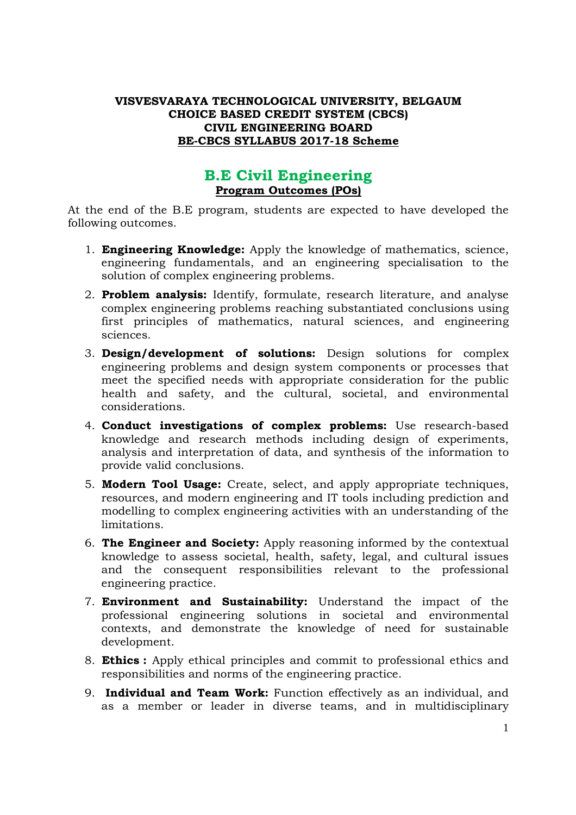### **VISVESVARAYA TECHNOLOGICAL UNIVERSITY, BELGAUM CHOICE BASED CREDIT SYSTEM (CBCS) CIVIL ENGINEERING BOARD BE-CBCS SYLLABUS 2017-18 Scheme**

# **B.E Civil Engineering Program Outcomes (POs)**

At the end of the B.E program, students are expected to have developed the following outcomes.

- 1. **Engineering Knowledge:** Apply the knowledge of mathematics, science, engineering fundamentals, and an engineering specialisation to the solution of complex engineering problems.
- 2. **Problem analysis:** Identify, formulate, research literature, and analyse complex engineering problems reaching substantiated conclusions using first principles of mathematics, natural sciences, and engineering sciences.
- 3. **Design/development of solutions:** Design solutions for complex engineering problems and design system components or processes that meet the specified needs with appropriate consideration for the public health and safety, and the cultural, societal, and environmental considerations.
- 4. **Conduct investigations of complex problems:** Use research-based knowledge and research methods including design of experiments, analysis and interpretation of data, and synthesis of the information to provide valid conclusions.
- 5. **Modern Tool Usage:** Create, select, and apply appropriate techniques, resources, and modern engineering and IT tools including prediction and modelling to complex engineering activities with an understanding of the limitations.
- 6. **The Engineer and Society:** Apply reasoning informed by the contextual knowledge to assess societal, health, safety, legal, and cultural issues and the consequent responsibilities relevant to the professional engineering practice.
- 7. **Environment and Sustainability:** Understand the impact of the professional engineering solutions in societal and environmental contexts, and demonstrate the knowledge of need for sustainable development.
- 8. **Ethics :** Apply ethical principles and commit to professional ethics and responsibilities and norms of the engineering practice.
- 9. **Individual and Team Work:** Function effectively as an individual, and as a member or leader in diverse teams, and in multidisciplinary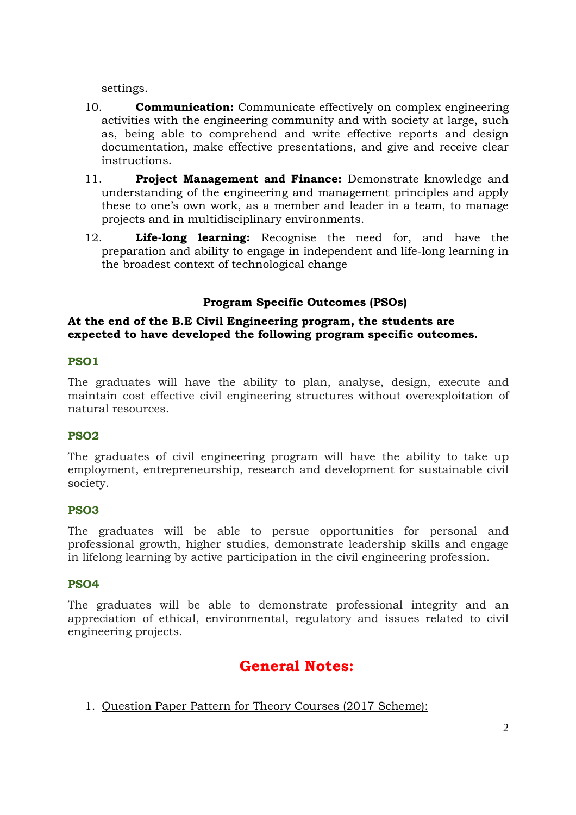settings.

- 10. **Communication:** Communicate effectively on complex engineering activities with the engineering community and with society at large, such as, being able to comprehend and write effective reports and design documentation, make effective presentations, and give and receive clear instructions.
- 11. **Project Management and Finance:** Demonstrate knowledge and understanding of the engineering and management principles and apply these to one's own work, as a member and leader in a team, to manage projects and in multidisciplinary environments.
- 12. **Life-long learning:** Recognise the need for, and have the preparation and ability to engage in independent and life-long learning in the broadest context of technological change

# **Program Specific Outcomes (PSOs)**

### **At the end of the B.E Civil Engineering program, the students are expected to have developed the following program specific outcomes.**

### **PSO1**

The graduates will have the ability to plan, analyse, design, execute and maintain cost effective civil engineering structures without overexploitation of natural resources.

### **PSO2**

The graduates of civil engineering program will have the ability to take up employment, entrepreneurship, research and development for sustainable civil society.

### **PSO3**

The graduates will be able to persue opportunities for personal and professional growth, higher studies, demonstrate leadership skills and engage in lifelong learning by active participation in the civil engineering profession.

### **PSO4**

The graduates will be able to demonstrate professional integrity and an appreciation of ethical, environmental, regulatory and issues related to civil engineering projects.

# **General Notes:**

1. Question Paper Pattern for Theory Courses (2017 Scheme):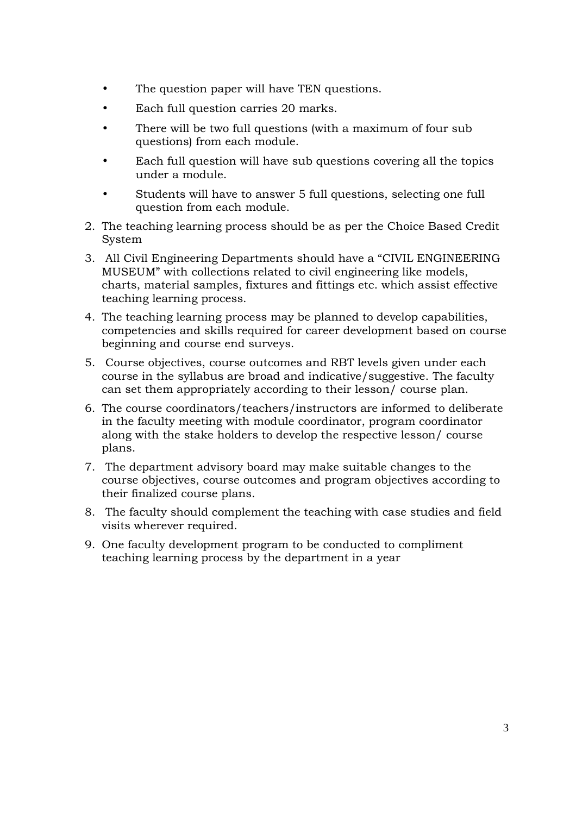- The question paper will have TEN questions.
- Each full question carries 20 marks.
- There will be two full questions (with a maximum of four sub questions) from each module.
- Each full question will have sub questions covering all the topics under a module.
- Students will have to answer 5 full questions, selecting one full question from each module.
- 2. The teaching learning process should be as per the Choice Based Credit System
- 3. All Civil Engineering Departments should have a "CIVIL ENGINEERING MUSEUM" with collections related to civil engineering like models, charts, material samples, fixtures and fittings etc. which assist effective teaching learning process.
- 4. The teaching learning process may be planned to develop capabilities, competencies and skills required for career development based on course beginning and course end surveys.
- 5. Course objectives, course outcomes and RBT levels given under each course in the syllabus are broad and indicative/suggestive. The faculty can set them appropriately according to their lesson/ course plan.
- 6. The course coordinators/teachers/instructors are informed to deliberate in the faculty meeting with module coordinator, program coordinator along with the stake holders to develop the respective lesson/ course plans.
- 7. The department advisory board may make suitable changes to the course objectives, course outcomes and program objectives according to their finalized course plans.
- 8. The faculty should complement the teaching with case studies and field visits wherever required.
- 9. One faculty development program to be conducted to compliment teaching learning process by the department in a year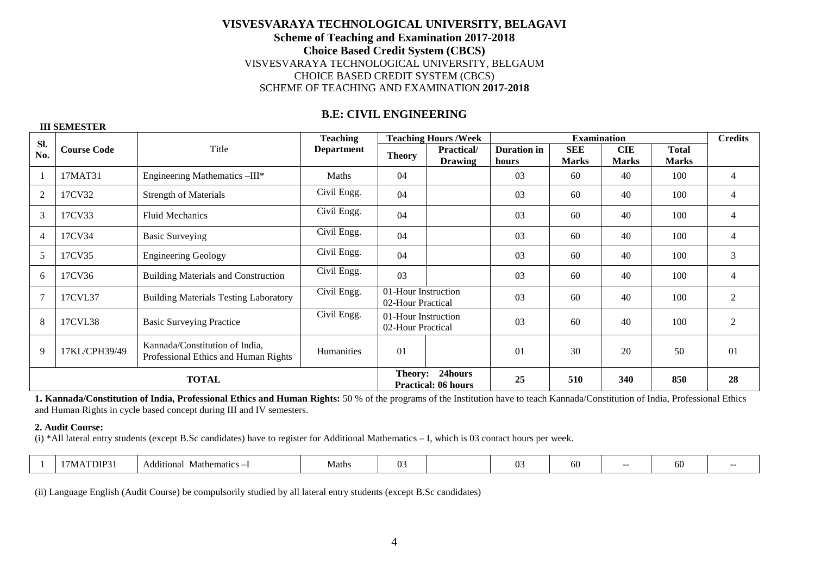### **B.E: CIVIL ENGINEERING**

# **Sl. No. Course Code Title Teaching Department Teaching Hours /Week | Examination | Credits** Theory **Practical/ Duration in SEE CIE Total Marks Practical/ Duration in SEE CIE Total Marks** 1 17MAT31 Engineering Mathematics –III\* Maths 04 03 60 40 100 4 2 | 17CV32 | Strength of Materials | Civil Engg. | 04 | 103 | 60 | 40 | 100 | 4 3 17CV33 Fluid Mechanics Civil Engg. 04 03 60 40 100 4 4 | 17CV34 | Basic Surveying | Civil Engg. | 04 | 103 | 60 | 40 | 100 | 4 5 | 17CV35 | Engineering Geology | Civil Engg. | 04 | 103 | 60 | 40 | 100 | 3 6 17CV36 Building Materials and Construction Civil Engg. 03 03 60 40 100 4 7 17CVL37 Building Materials Testing Laboratory Civil Engg. 01-Hour Instruction 03 60 40 100 2 8 17CVL38 Basic Surveying Practice Civil Engg. 01-Hour Instruction 02-Hour Practical 03 60 40 100 2 9  $17KL/CPH39/49$  Kannada/Constitution of India,<br>Professional Ethics and Human Rights Humanities 01 01 01 30 30 50 50 01 **TOTAL Theory: 24hours Practical: 06 hours 25 510 340 850 28**

**1. Kannada/Constitution of India, Professional Ethics and Human Rights:** 50 % of the programs of the Institution have to teach Kannada/Constitution of India, Professional Ethics and Human Rights in cycle based concept during III and IV semesters.

**2. Audit Course:** 

(i) \*All lateral entry students (except B.Sc candidates) have to register for Additional Mathematics – I, which is 03 contact hours per week.

|  | DIP <sup>-</sup><br>7 N | iitional<br>Mathematics<br>Ade | Maths | Œ |  |  | ∽ |  | ы |  |
|--|-------------------------|--------------------------------|-------|---|--|--|---|--|---|--|
|--|-------------------------|--------------------------------|-------|---|--|--|---|--|---|--|

(ii) Language English (Audit Course) be compulsorily studied by all lateral entry students (except B.Sc candidates)

#### **III SEMESTER**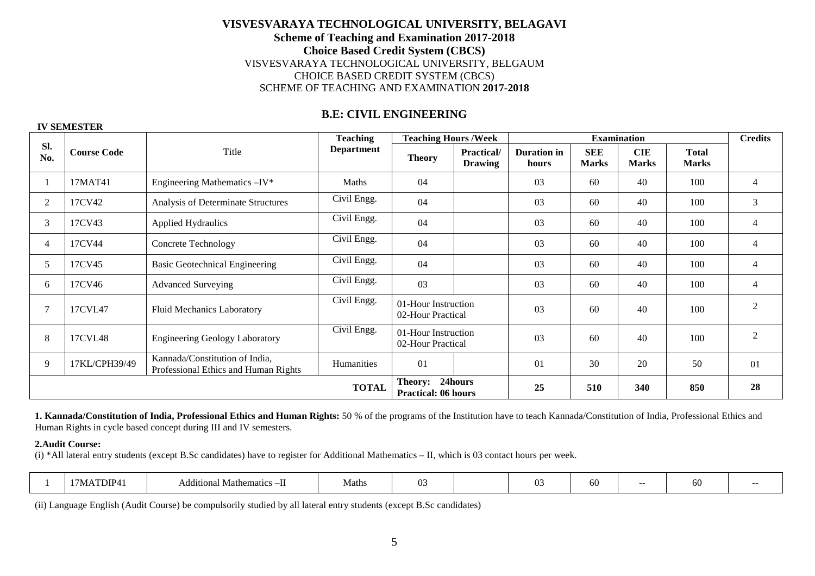### **B.E: CIVIL ENGINEERING**

#### **IV SEMESTER**

|            |                    |                                                                        | <b>Teaching</b>   | <b>Teaching Hours /Week</b>              |                                      |                             | <b>Examination</b>         |                            |                              | <b>Credits</b> |
|------------|--------------------|------------------------------------------------------------------------|-------------------|------------------------------------------|--------------------------------------|-----------------------------|----------------------------|----------------------------|------------------------------|----------------|
| Sl.<br>No. | <b>Course Code</b> | Title                                                                  | <b>Department</b> | <b>Theory</b>                            | <b>Practical</b> /<br><b>Drawing</b> | <b>Duration</b> in<br>hours | <b>SEE</b><br><b>Marks</b> | <b>CIE</b><br><b>Marks</b> | <b>Total</b><br><b>Marks</b> |                |
|            | 17MAT41            | Engineering Mathematics -IV*                                           | Maths             | 04                                       |                                      | 03                          | 60                         | 40                         | 100                          | 4              |
| 2          | 17CV42             | Analysis of Determinate Structures                                     | Civil Engg.       | 04                                       |                                      | 03                          | 60                         | 40                         | 100                          | 3              |
| 3          | 17CV43             | <b>Applied Hydraulics</b>                                              | Civil Engg.       | 04                                       |                                      | 03                          | 60                         | 40                         | 100                          | $\overline{4}$ |
| 4          | 17CV44             | <b>Concrete Technology</b>                                             | Civil Engg.       | 04                                       |                                      | 03                          | 60                         | 40                         | 100                          | $\overline{4}$ |
| 5          | 17CV45             | <b>Basic Geotechnical Engineering</b>                                  | Civil Engg.       | 04                                       |                                      | 03                          | 60                         | 40                         | 100                          | 4              |
| 6          | 17CV46             | <b>Advanced Surveying</b>                                              | Civil Engg.       | 03                                       |                                      | 03                          | 60                         | 40                         | 100                          | 4              |
| 7          | 17CVL47            | <b>Fluid Mechanics Laboratory</b>                                      | Civil Engg.       | 01-Hour Instruction<br>02-Hour Practical |                                      | 03                          | 60                         | 40                         | 100                          | $\overline{2}$ |
| 8          | 17CVL48            | <b>Engineering Geology Laboratory</b>                                  | Civil Engg.       | 01-Hour Instruction<br>02-Hour Practical |                                      | 03                          | 60                         | 40                         | 100                          | $\overline{2}$ |
| 9          | 17KL/CPH39/49      | Kannada/Constitution of India,<br>Professional Ethics and Human Rights | Humanities        | 01                                       |                                      | 01                          | 30                         | 20                         | 50                           | 01             |
|            |                    |                                                                        | <b>TOTAL</b>      | Theory:<br><b>Practical: 06 hours</b>    | 24hours                              | 25                          | 510                        | 340                        | 850                          | 28             |

**1. Kannada/Constitution of India, Professional Ethics and Human Rights:** 50 % of the programs of the Institution have to teach Kannada/Constitution of India, Professional Ethics and Human Rights in cycle based concept during III and IV semesters.

#### **2.Audit Course:**

(i) \*All lateral entry students (except B.Sc candidates) have to register for Additional Mathematics – II, which is 03 contact hours per week.

|  | TDIP <sub>4</sub><br>/ IVI A | thematics –II<br>Additional<br>. Matr | Maths |  |  |  | -11 |  |  |  |
|--|------------------------------|---------------------------------------|-------|--|--|--|-----|--|--|--|
|--|------------------------------|---------------------------------------|-------|--|--|--|-----|--|--|--|

(ii) Language English (Audit Course) be compulsorily studied by all lateral entry students (except B.Sc candidates)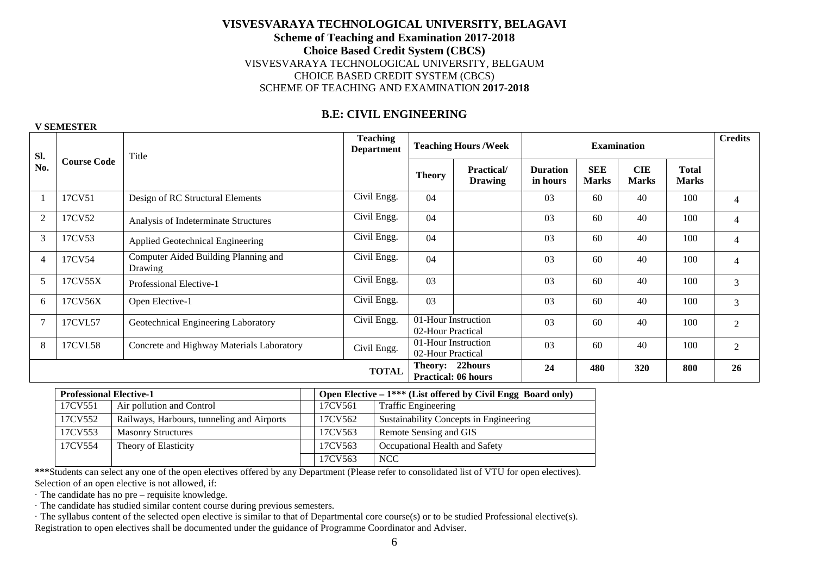### **B.E: CIVIL ENGINEERING**

#### **V SEMESTER**

| Sl.            |                    | Title                                           |              |                                          | <b>Teaching Hours/Week</b>           |                             |                            | <b>Credits</b>             |                              |                |
|----------------|--------------------|-------------------------------------------------|--------------|------------------------------------------|--------------------------------------|-----------------------------|----------------------------|----------------------------|------------------------------|----------------|
| No.            | <b>Course Code</b> |                                                 |              | <b>Theory</b>                            | <b>Practical</b> /<br><b>Drawing</b> | <b>Duration</b><br>in hours | <b>SEE</b><br><b>Marks</b> | <b>CIE</b><br><b>Marks</b> | <b>Total</b><br><b>Marks</b> |                |
|                | 17CV51             | Design of RC Structural Elements                | Civil Engg.  | 04                                       |                                      | 03                          | 60                         | 40                         | 100                          | $\overline{4}$ |
| $\overline{2}$ | 17CV52             | Analysis of Indeterminate Structures            | Civil Engg.  | 04                                       |                                      | 03                          | 60                         | 40                         | 100                          | $\overline{4}$ |
| 3              | 17CV53             | Applied Geotechnical Engineering                | Civil Engg.  | 04                                       |                                      | 03                          | 60                         | 40                         | 100                          | $\overline{4}$ |
| $\overline{4}$ | 17CV54             | Computer Aided Building Planning and<br>Drawing | Civil Engg.  | 04                                       |                                      | 03                          | 60                         | 40                         | 100                          | $\overline{4}$ |
| 5              | 17CV55X            | Professional Elective-1                         | Civil Engg.  | 03                                       |                                      | 03                          | 60                         | 40                         | 100                          | 3              |
| 6              | 17CV56X            | Open Elective-1                                 | Civil Engg.  | 03                                       |                                      | 03                          | 60                         | 40                         | 100                          | $\mathfrak{Z}$ |
|                | 17CVL57            | Geotechnical Engineering Laboratory             | Civil Engg.  | 01-Hour Instruction<br>02-Hour Practical |                                      | 03                          | 60                         | 40                         | 100                          | $\overline{2}$ |
| 8              | 17CVL58            | Concrete and Highway Materials Laboratory       | Civil Engg.  | 01-Hour Instruction<br>02-Hour Practical |                                      | 03                          | 60                         | 40                         | 100                          | 2              |
|                |                    |                                                 | <b>TOTAL</b> | Theory: 22hours                          | <b>Practical: 06 hours</b>           | 24                          | 480                        | 320                        | 800                          | 26             |

|         | <b>Professional Elective-1</b>             |  |         | Open Elective $-1***$ (List offered by Civil Engg Board only) |
|---------|--------------------------------------------|--|---------|---------------------------------------------------------------|
| 17CV551 | Air pollution and Control                  |  | 17CV561 | <b>Traffic Engineering</b>                                    |
| 17CV552 | Railways, Harbours, tunneling and Airports |  | 17CV562 | Sustainability Concepts in Engineering                        |
| 17CV553 | <b>Masonry Structures</b>                  |  | 17CV563 | Remote Sensing and GIS                                        |
| 17CV554 | Theory of Elasticity                       |  | 17CV563 | Occupational Health and Safety                                |
|         |                                            |  | 17CV563 | <b>NCC</b>                                                    |

**\*\*\***Students can select any one of the open electives offered by any Department (Please refer to consolidated list of VTU for open electives). Selection of an open elective is not allowed, if:

· The candidate has no pre – requisite knowledge.

- · The candidate has studied similar content course during previous semesters.
- · The syllabus content of the selected open elective is similar to that of Departmental core course(s) or to be studied Professional elective(s). Registration to open electives shall be documented under the guidance of Programme Coordinator and Adviser.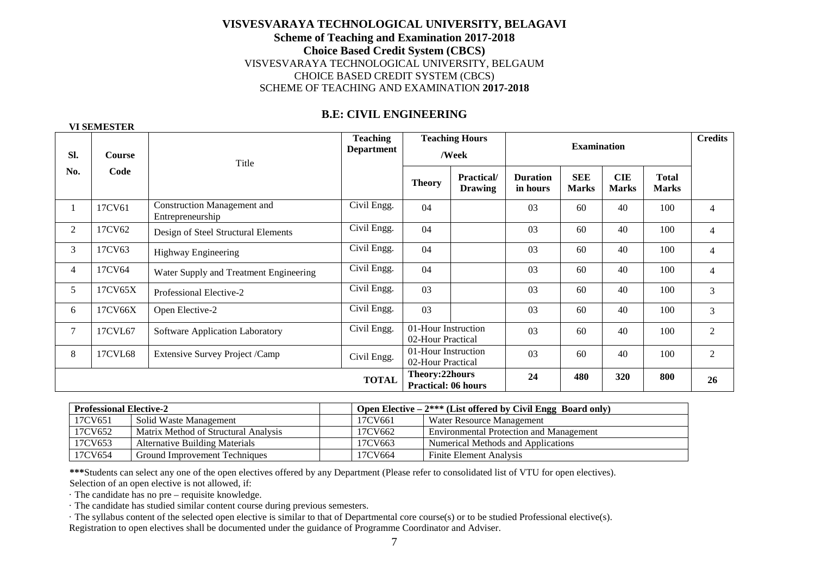### **B.E: CIVIL ENGINEERING**

#### **VI SEMESTER**

| Sl.            | <b>Course</b> | Title                                                  | <b>Teaching</b><br><b>Department</b> |                                              | <b>Teaching Hours</b><br>/Week       |                             | <b>Examination</b>         |                            |                              | <b>Credits</b> |
|----------------|---------------|--------------------------------------------------------|--------------------------------------|----------------------------------------------|--------------------------------------|-----------------------------|----------------------------|----------------------------|------------------------------|----------------|
| No.            | Code          |                                                        |                                      | <b>Theory</b>                                | <b>Practical</b> /<br><b>Drawing</b> | <b>Duration</b><br>in hours | <b>SEE</b><br><b>Marks</b> | <b>CIE</b><br><b>Marks</b> | <b>Total</b><br><b>Marks</b> |                |
| 1              | 17CV61        | <b>Construction Management and</b><br>Entrepreneurship | Civil Engg.                          | 04                                           |                                      | 03                          | 60                         | 40                         | 100                          | $\overline{4}$ |
| 2              | 17CV62        | Design of Steel Structural Elements                    | Civil Engg.                          | 04                                           |                                      | 03                          | 60                         | 40                         | 100                          | $\overline{4}$ |
| 3              | 17CV63        | Highway Engineering                                    | Civil Engg.                          | 04                                           |                                      | 03                          | 60                         | 40                         | 100                          | $\overline{4}$ |
| $\overline{4}$ | 17CV64        | Water Supply and Treatment Engineering                 | Civil Engg.                          | 04                                           |                                      | 03                          | 60                         | 40                         | 100                          | $\overline{4}$ |
| 5              | 17CV65X       | Professional Elective-2                                | Civil Engg.                          | 03                                           |                                      | 03                          | 60                         | 40                         | 100                          | $\overline{3}$ |
| 6              | 17CV66X       | Open Elective-2                                        | Civil Engg.                          | 03                                           |                                      | 03                          | 60                         | 40                         | 100                          | $\mathfrak{Z}$ |
| $\tau$         | 17CVL67       | Software Application Laboratory                        | Civil Engg.                          | 01-Hour Instruction<br>02-Hour Practical     |                                      | 03                          | 60                         | 40                         | 100                          | $\mathbf{2}$   |
| 8              | 17CVL68       | Extensive Survey Project /Camp                         | Civil Engg.                          | 01-Hour Instruction<br>02-Hour Practical     |                                      | 03                          | 60                         | 40                         | 100                          | $\overline{2}$ |
|                |               |                                                        | <b>TOTAL</b>                         | Theory:22hours<br><b>Practical: 06 hours</b> |                                      | 24                          | 480                        | 320                        | 800                          | 26             |

| <b>Professional Elective-2</b>    |                                       |  | Open Elective $-2***$ (List offered by Civil Engg Board only) |                                                |  |  |  |  |
|-----------------------------------|---------------------------------------|--|---------------------------------------------------------------|------------------------------------------------|--|--|--|--|
| 17CV651<br>Solid Waste Management |                                       |  | 17CV661                                                       | Water Resource Management                      |  |  |  |  |
| 17CV652                           | Matrix Method of Structural Analysis  |  | 17CV662                                                       | <b>Environmental Protection and Management</b> |  |  |  |  |
| 17CV653                           | <b>Alternative Building Materials</b> |  | 17CV663                                                       | Numerical Methods and Applications             |  |  |  |  |
| 17CV654                           | <b>Ground Improvement Techniques</b>  |  | 17CV664                                                       | Finite Element Analysis                        |  |  |  |  |

**\*\*\***Students can select any one of the open electives offered by any Department (Please refer to consolidated list of VTU for open electives). Selection of an open elective is not allowed, if:

· The candidate has no pre – requisite knowledge.

· The candidate has studied similar content course during previous semesters.

 · The syllabus content of the selected open elective is similar to that of Departmental core course(s) or to be studied Professional elective(s). Registration to open electives shall be documented under the guidance of Programme Coordinator and Adviser.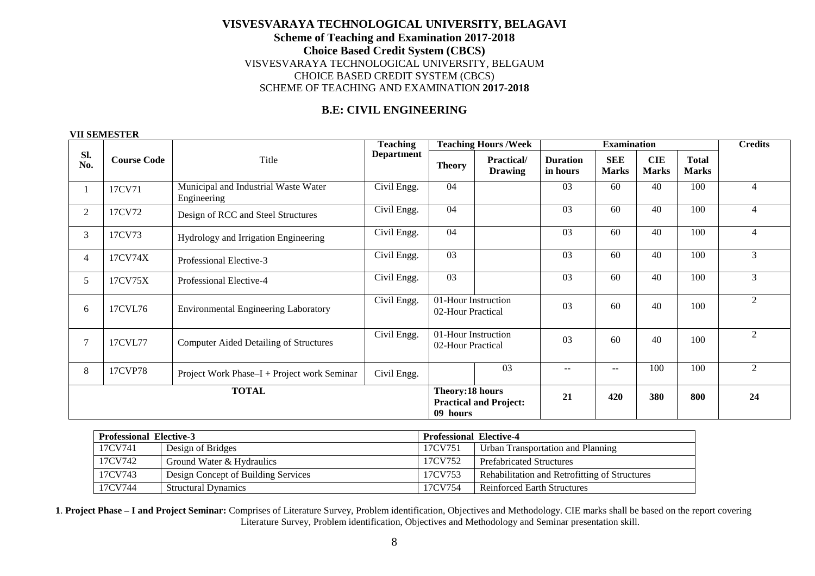### **B.E: CIVIL ENGINEERING**

#### **VII SEMESTER**

|                |                    |                                                     | <b>Teaching</b>   |                                          | <b>Teaching Hours /Week</b>                                         |      | <b>Examination</b>         |                            |                              | <b>Credits</b> |
|----------------|--------------------|-----------------------------------------------------|-------------------|------------------------------------------|---------------------------------------------------------------------|------|----------------------------|----------------------------|------------------------------|----------------|
| SI.<br>No.     | <b>Course Code</b> | Title                                               | <b>Department</b> | <b>Theory</b>                            | <b>Practical</b> /<br><b>Duration</b><br>in hours<br><b>Drawing</b> |      | <b>SEE</b><br><b>Marks</b> | <b>CIE</b><br><b>Marks</b> | <b>Total</b><br><b>Marks</b> |                |
|                | 17CV71             | Municipal and Industrial Waste Water<br>Engineering | Civil Engg.       | 04                                       |                                                                     |      | 60                         | 40                         | 100                          | $\overline{4}$ |
| $\overline{2}$ | 17CV72             | Design of RCC and Steel Structures                  | Civil Engg.       | 04                                       |                                                                     | 03   | 60                         | 40                         | 100                          | $\overline{4}$ |
| 3              | 17CV73             | Hydrology and Irrigation Engineering                | Civil Engg.       | 04                                       |                                                                     | 03   | 60                         | 40                         | 100                          | 4              |
| $\overline{4}$ | 17CV74X            | Professional Elective-3                             | Civil Engg.       | $\overline{03}$                          |                                                                     |      | 60                         | 40                         | 100                          | 3              |
| 5              | 17CV75X            | Professional Elective-4                             | Civil Engg.       | 03                                       |                                                                     | 03   | 60                         | 40                         | 100                          | 3              |
| 6              | 17CVL76            | <b>Environmental Engineering Laboratory</b>         | Civil Engg.       | 01-Hour Instruction<br>02-Hour Practical |                                                                     | 03   | 60                         | 40                         | 100                          | $\overline{2}$ |
| $\overline{7}$ | 17CVL77            | <b>Computer Aided Detailing of Structures</b>       | Civil Engg.       | 01-Hour Instruction<br>02-Hour Practical |                                                                     | 03   | 60                         | 40                         | 100                          | $\overline{2}$ |
| 8              | 17CVP78            | Project Work Phase-I + Project work Seminar         | Civil Engg.       |                                          | 03                                                                  | $--$ | $-$                        | 100                        | 100                          | 2              |
|                |                    | <b>TOTAL</b>                                        |                   | Theory:18 hours<br>09 hours              | <b>Practical and Project:</b>                                       | 21   | 420                        | 380                        | 800                          | 24             |

| <b>Professional Elective-3</b> |                                     |         | <b>Professional Elective-4</b>                |
|--------------------------------|-------------------------------------|---------|-----------------------------------------------|
| 17CV741                        | Design of Bridges                   | 17CV751 | Urban Transportation and Planning             |
| 17CV742                        | Ground Water & Hydraulics           | 17CV752 | <b>Prefabricated Structures</b>               |
| 17CV743                        | Design Concept of Building Services | 17CV753 | Rehabilitation and Retrofitting of Structures |
| 17CV744                        | <b>Structural Dynamics</b>          | 17CV754 | Reinforced Earth Structures                   |

**1**. **Project Phase – I and Project Seminar:** Comprises of Literature Survey, Problem identification, Objectives and Methodology. CIE marks shall be based on the report covering Literature Survey, Problem identification, Objectives and Methodology and Seminar presentation skill.